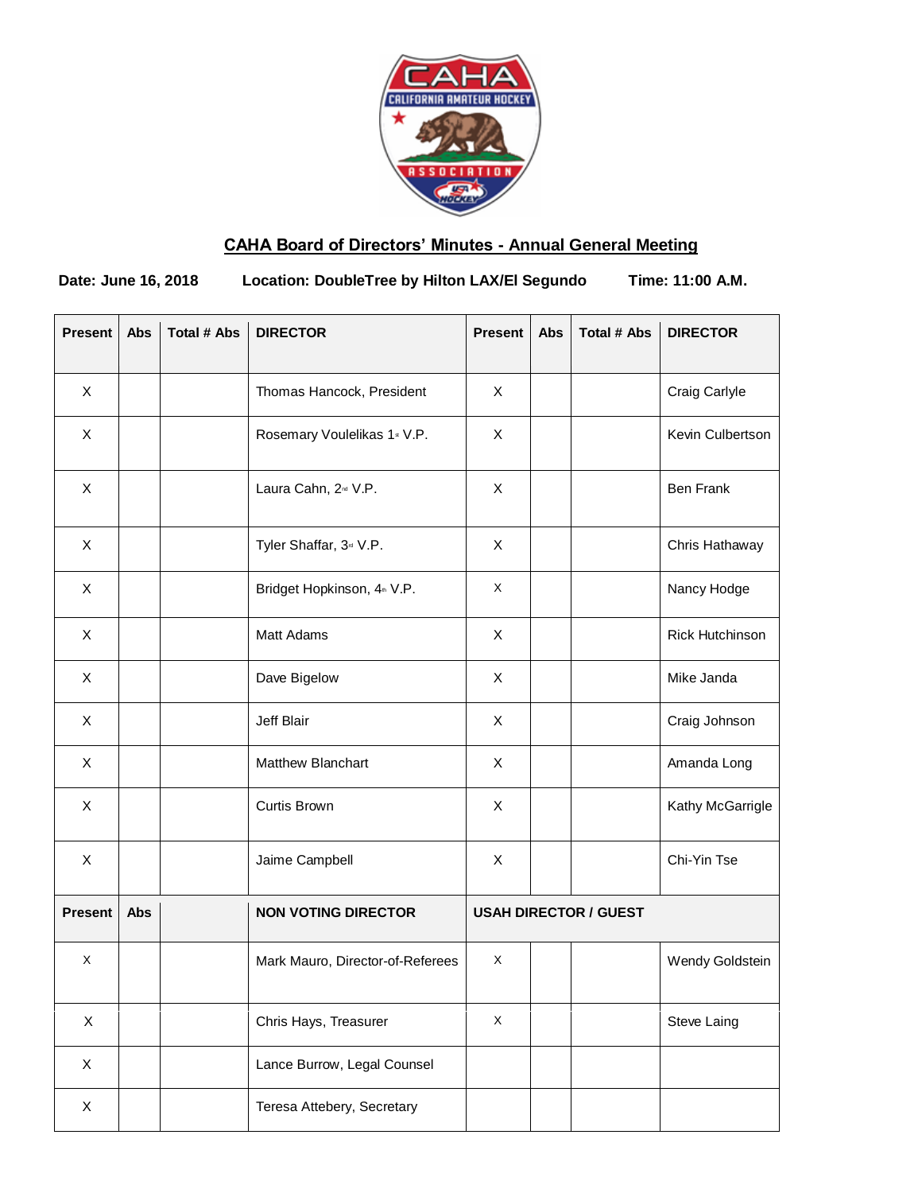

# **CAHA Board of Directors' Minutes - Annual General Meeting**

**Date: June 16, 2018 Location: DoubleTree by Hilton LAX/El Segundo Time: 11:00 A.M.**

| <b>Present</b> | Abs | <b>Total # Abs</b> | <b>DIRECTOR</b>                         | <b>Present</b>               | Abs | <b>Total # Abs</b> | <b>DIRECTOR</b>        |
|----------------|-----|--------------------|-----------------------------------------|------------------------------|-----|--------------------|------------------------|
| X              |     |                    | Thomas Hancock, President               | X                            |     |                    | Craig Carlyle          |
| X              |     |                    | Rosemary Voulelikas 1st V.P.            | X                            |     |                    | Kevin Culbertson       |
| X              |     |                    | Laura Cahn, 2 <sup>nd</sup> V.P.        | X                            |     |                    | <b>Ben Frank</b>       |
| X              |     |                    | Tyler Shaffar, 3 <sup>rd</sup> V.P.     | X                            |     |                    | Chris Hathaway         |
| X              |     |                    | Bridget Hopkinson, 4 <sup>th</sup> V.P. | X                            |     |                    | Nancy Hodge            |
| X              |     |                    | Matt Adams                              | X                            |     |                    | <b>Rick Hutchinson</b> |
| X              |     |                    | Dave Bigelow                            | X                            |     |                    | Mike Janda             |
| X              |     |                    | Jeff Blair                              | X                            |     |                    | Craig Johnson          |
| X              |     |                    | Matthew Blanchart                       | X                            |     |                    | Amanda Long            |
| X              |     |                    | Curtis Brown                            | X                            |     |                    | Kathy McGarrigle       |
| X              |     |                    | Jaime Campbell                          | X                            |     |                    | Chi-Yin Tse            |
| <b>Present</b> | Abs |                    | <b>NON VOTING DIRECTOR</b>              | <b>USAH DIRECTOR / GUEST</b> |     |                    |                        |
| X              |     |                    | Mark Mauro, Director-of-Referees        | X                            |     |                    | Wendy Goldstein        |
| X              |     |                    | Chris Hays, Treasurer                   | X                            |     |                    | Steve Laing            |
| X              |     |                    | Lance Burrow, Legal Counsel             |                              |     |                    |                        |
| X              |     |                    | Teresa Attebery, Secretary              |                              |     |                    |                        |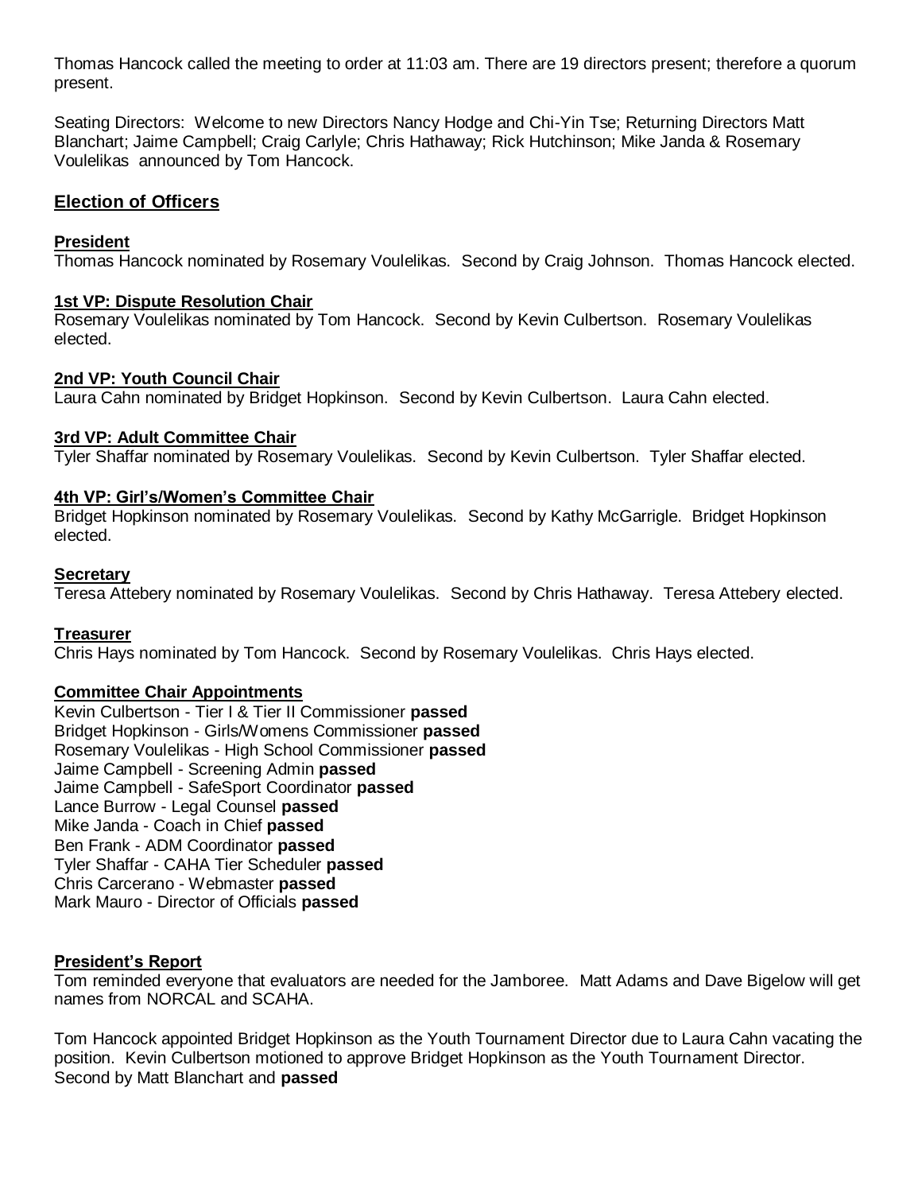Thomas Hancock called the meeting to order at 11:03 am. There are 19 directors present; therefore a quorum present.

Seating Directors: Welcome to new Directors Nancy Hodge and Chi-Yin Tse; Returning Directors Matt Blanchart; Jaime Campbell; Craig Carlyle; Chris Hathaway; Rick Hutchinson; Mike Janda & Rosemary Voulelikas announced by Tom Hancock.

#### **Election of Officers**

#### **President**

Thomas Hancock nominated by Rosemary Voulelikas. Second by Craig Johnson. Thomas Hancock elected.

#### **1st VP: Dispute Resolution Chair**

Rosemary Voulelikas nominated by Tom Hancock. Second by Kevin Culbertson. Rosemary Voulelikas elected.

#### **2nd VP: Youth Council Chair**

Laura Cahn nominated by Bridget Hopkinson. Second by Kevin Culbertson. Laura Cahn elected.

#### **3rd VP: Adult Committee Chair**

Tyler Shaffar nominated by Rosemary Voulelikas. Second by Kevin Culbertson. Tyler Shaffar elected.

#### **4th VP: Girl's/Women's Committee Chair**

Bridget Hopkinson nominated by Rosemary Voulelikas. Second by Kathy McGarrigle. Bridget Hopkinson elected.

#### **Secretary**

Teresa Attebery nominated by Rosemary Voulelikas. Second by Chris Hathaway. Teresa Attebery elected.

## **Treasurer**

Chris Hays nominated by Tom Hancock. Second by Rosemary Voulelikas. Chris Hays elected.

## **Committee Chair Appointments**

Kevin Culbertson - Tier I & Tier II Commissioner **passed** Bridget Hopkinson - Girls/Womens Commissioner **passed** Rosemary Voulelikas - High School Commissioner **passed** Jaime Campbell - Screening Admin **passed** Jaime Campbell - SafeSport Coordinator **passed** Lance Burrow - Legal Counsel **passed** Mike Janda - Coach in Chief **passed** Ben Frank - ADM Coordinator **passed** Tyler Shaffar - CAHA Tier Scheduler **passed** Chris Carcerano - Webmaster **passed** Mark Mauro - Director of Officials **passed**

## **President's Report**

Tom reminded everyone that evaluators are needed for the Jamboree. Matt Adams and Dave Bigelow will get names from NORCAL and SCAHA.

Tom Hancock appointed Bridget Hopkinson as the Youth Tournament Director due to Laura Cahn vacating the position. Kevin Culbertson motioned to approve Bridget Hopkinson as the Youth Tournament Director. Second by Matt Blanchart and **passed**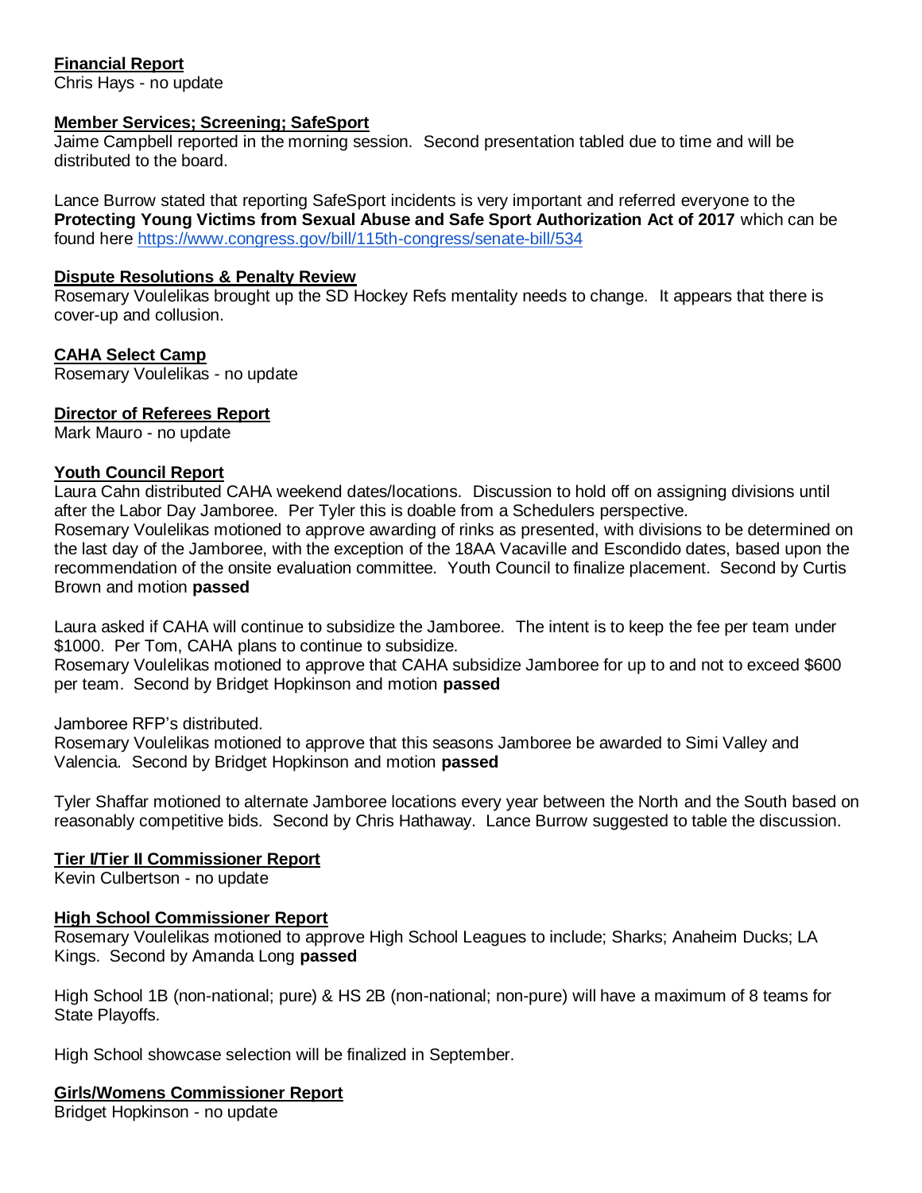## **Financial Report**

Chris Hays - no update

#### **Member Services; Screening; SafeSport**

Jaime Campbell reported in the morning session. Second presentation tabled due to time and will be distributed to the board.

Lance Burrow stated that reporting SafeSport incidents is very important and referred everyone to the **Protecting Young Victims from Sexual Abuse and Safe Sport Authorization Act of 2017** which can be found here<https://www.congress.gov/bill/115th-congress/senate-bill/534>

#### **Dispute Resolutions & Penalty Review**

Rosemary Voulelikas brought up the SD Hockey Refs mentality needs to change. It appears that there is cover-up and collusion.

## **CAHA Select Camp**

Rosemary Voulelikas - no update

#### **Director of Referees Report**

Mark Mauro - no update

#### **Youth Council Report**

Laura Cahn distributed CAHA weekend dates/locations. Discussion to hold off on assigning divisions until after the Labor Day Jamboree. Per Tyler this is doable from a Schedulers perspective.

Rosemary Voulelikas motioned to approve awarding of rinks as presented, with divisions to be determined on the last day of the Jamboree, with the exception of the 18AA Vacaville and Escondido dates, based upon the recommendation of the onsite evaluation committee. Youth Council to finalize placement. Second by Curtis Brown and motion **passed**

Laura asked if CAHA will continue to subsidize the Jamboree. The intent is to keep the fee per team under \$1000. Per Tom, CAHA plans to continue to subsidize.

Rosemary Voulelikas motioned to approve that CAHA subsidize Jamboree for up to and not to exceed \$600 per team. Second by Bridget Hopkinson and motion **passed**

Jamboree RFP's distributed.

Rosemary Voulelikas motioned to approve that this seasons Jamboree be awarded to Simi Valley and Valencia. Second by Bridget Hopkinson and motion **passed**

Tyler Shaffar motioned to alternate Jamboree locations every year between the North and the South based on reasonably competitive bids. Second by Chris Hathaway. Lance Burrow suggested to table the discussion.

## **Tier I/Tier II Commissioner Report**

Kevin Culbertson - no update

## **High School Commissioner Report**

Rosemary Voulelikas motioned to approve High School Leagues to include; Sharks; Anaheim Ducks; LA Kings. Second by Amanda Long **passed**

High School 1B (non-national; pure) & HS 2B (non-national; non-pure) will have a maximum of 8 teams for State Playoffs.

High School showcase selection will be finalized in September.

#### **Girls/Womens Commissioner Report**

Bridget Hopkinson - no update